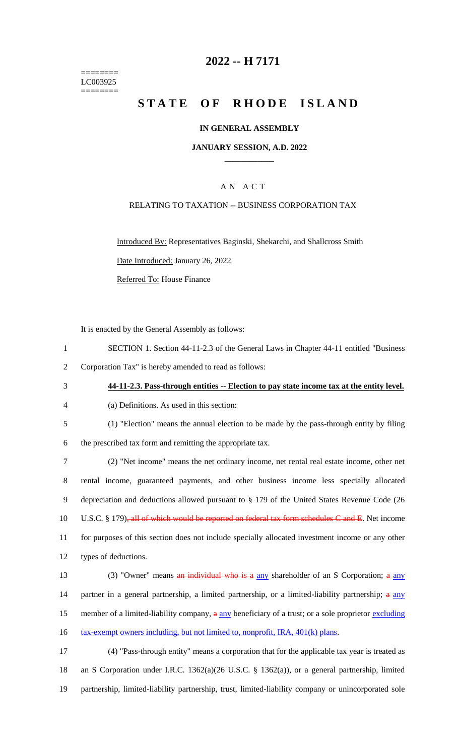======== LC003925 ========

# **2022 -- H 7171**

# **STATE OF RHODE ISLAND**

### **IN GENERAL ASSEMBLY**

### **JANUARY SESSION, A.D. 2022 \_\_\_\_\_\_\_\_\_\_\_\_**

# A N A C T

### RELATING TO TAXATION -- BUSINESS CORPORATION TAX

Introduced By: Representatives Baginski, Shekarchi, and Shallcross Smith Date Introduced: January 26, 2022 Referred To: House Finance

It is enacted by the General Assembly as follows:

| SECTION 1. Section 44-11-2.3 of the General Laws in Chapter 44-11 entitled "Business" |
|---------------------------------------------------------------------------------------|
| 2 Corporation Tax" is hereby amended to read as follows:                              |

### 3 **44-11-2.3. Pass-through entities -- Election to pay state income tax at the entity level.**

- 4 (a) Definitions. As used in this section:
- 

5 (1) "Election" means the annual election to be made by the pass-through entity by filing 6 the prescribed tax form and remitting the appropriate tax.

 (2) "Net income" means the net ordinary income, net rental real estate income, other net rental income, guaranteed payments, and other business income less specially allocated depreciation and deductions allowed pursuant to § 179 of the United States Revenue Code (26 10 U.S.C. § 179)<del>, all of which would be reported on federal tax form schedules C and E</del>. Net income for purposes of this section does not include specially allocated investment income or any other types of deductions.

13 (3) "Owner" means an individual who is a any shareholder of an S Corporation; a any 14 partner in a general partnership, a limited partnership, or a limited-liability partnership; a any 15 member of a limited-liability company,  $a \nvert a \nvert y$  beneficiary of a trust; or a sole proprietor excluding 16 tax-exempt owners including, but not limited to, nonprofit, IRA, 401(k) plans.

17 (4) "Pass-through entity" means a corporation that for the applicable tax year is treated as 18 an S Corporation under I.R.C. 1362(a)(26 U.S.C. § 1362(a)), or a general partnership, limited 19 partnership, limited-liability partnership, trust, limited-liability company or unincorporated sole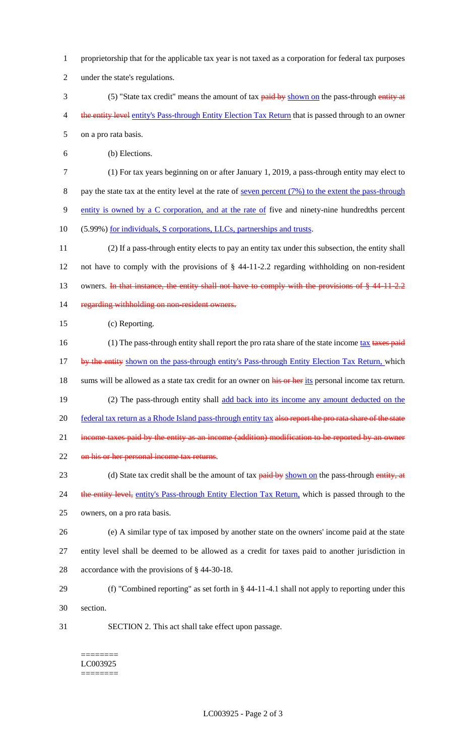- 1 proprietorship that for the applicable tax year is not taxed as a corporation for federal tax purposes
- 2 under the state's regulations.
- 3 (5) "State tax credit" means the amount of tax **paid by** shown on the pass-through entity at 4 the entity level entity's Pass-through Entity Election Tax Return that is passed through to an owner 5 on a pro rata basis.

6 (b) Elections.

- 7 (1) For tax years beginning on or after January 1, 2019, a pass-through entity may elect to 8 pay the state tax at the entity level at the rate of <u>seven percent (7%) to the extent the pass-through</u> 9 entity is owned by a C corporation, and at the rate of five and ninety-nine hundredths percent 10 (5.99%) for individuals, S corporations, LLCs, partnerships and trusts.
- 11 (2) If a pass-through entity elects to pay an entity tax under this subsection, the entity shall 12 not have to comply with the provisions of § 44-11-2.2 regarding withholding on non-resident 13 owners. In that instance, the entity shall not have to comply with the provisions of § 44-11-2.2 14 regarding withholding on non-resident owners.

15 (c) Reporting.

- 16 (1) The pass-through entity shall report the pro rata share of the state income tax taxes paid 17 by the entity shown on the pass-through entity's Pass-through Entity Election Tax Return, which 18 sums will be allowed as a state tax credit for an owner on his or her its personal income tax return. 19 (2) The pass-through entity shall add back into its income any amount deducted on the 20 federal tax return as a Rhode Island pass-through entity tax also report the pro rata share of the state 21 income taxes paid by the entity as an income (addition) modification to be reported by an owner 22 on his or her personal income tax returns. 23 (d) State tax credit shall be the amount of tax paid by shown on the pass-through entity, at 24 the entity level, entity's Pass-through Entity Election Tax Return, which is passed through to the 25 owners, on a pro rata basis. 26 (e) A similar type of tax imposed by another state on the owners' income paid at the state
- 27 entity level shall be deemed to be allowed as a credit for taxes paid to another jurisdiction in 28 accordance with the provisions of § 44-30-18.
- 29 (f) "Combined reporting" as set forth in § 44-11-4.1 shall not apply to reporting under this 30 section.
- 31 SECTION 2. This act shall take effect upon passage.

======== LC003925 ========